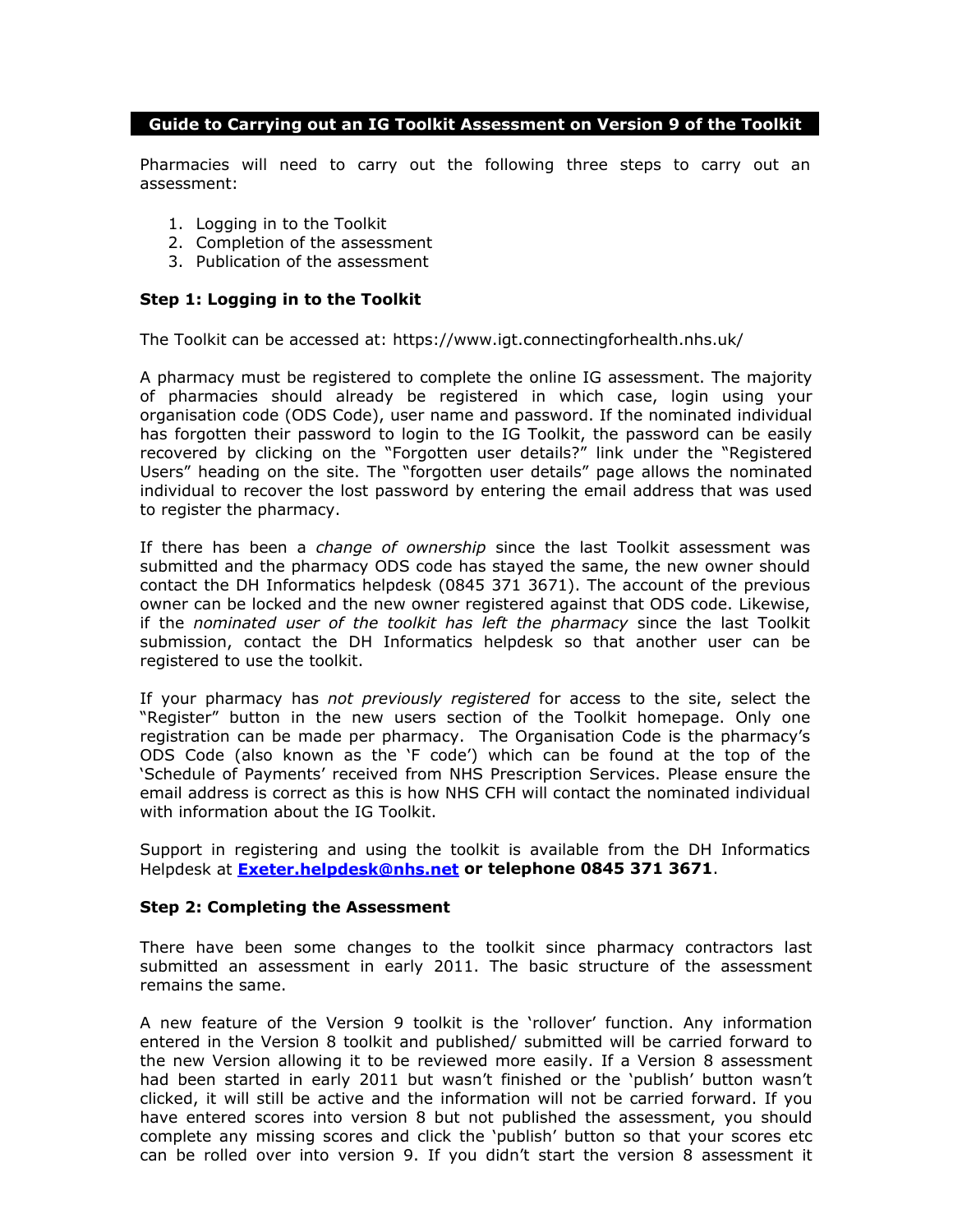# **Guide to Carrying out an IG Toolkit Assessment on Version 9 of the Toolkit**

Pharmacies will need to carry out the following three steps to carry out an assessment:

- 1. Logging in to the Toolkit
- 2. Completion of the assessment
- 3. Publication of the assessment

# **Step 1: Logging in to the Toolkit**

The Toolkit can be accessed at: https://www.igt.connectingforhealth.nhs.uk/

A pharmacy must be registered to complete the online IG assessment. The majority of pharmacies should already be registered in which case, login using your organisation code (ODS Code), user name and password. If the nominated individual has forgotten their password to login to the IG Toolkit, the password can be easily recovered by clicking on the "Forgotten user details?" link under the "Registered Users" heading on the site. The "forgotten user details" page allows the nominated individual to recover the lost password by entering the email address that was used to register the pharmacy.

If there has been a *change of ownership* since the last Toolkit assessment was submitted and the pharmacy ODS code has stayed the same, the new owner should contact the DH Informatics helpdesk (0845 371 3671). The account of the previous owner can be locked and the new owner registered against that ODS code. Likewise, if the *nominated user of the toolkit has left the pharmacy* since the last Toolkit submission, contact the DH Informatics helpdesk so that another user can be registered to use the toolkit.

If your pharmacy has *not previously registered* for access to the site, select the "Register" button in the new users section of the Toolkit homepage. Only one registration can be made per pharmacy. The Organisation Code is the pharmacy's ODS Code (also known as the 'F code') which can be found at the top of the 'Schedule of Payments' received from NHS Prescription Services. Please ensure the email address is correct as this is how NHS CFH will contact the nominated individual with information about the IG Toolkit.

Support in registering and using the toolkit is available from the DH Informatics Helpdesk at **Exeter.helpdesk@nhs.net or telephone 0845 371 3671**.

#### **Step 2: Completing the Assessment**

There have been some changes to the toolkit since pharmacy contractors last submitted an assessment in early 2011. The basic structure of the assessment remains the same.

A new feature of the Version 9 toolkit is the 'rollover' function. Any information entered in the Version 8 toolkit and published/ submitted will be carried forward to the new Version allowing it to be reviewed more easily. If a Version 8 assessment had been started in early 2011 but wasn't finished or the 'publish' button wasn't clicked, it will still be active and the information will not be carried forward. If you have entered scores into version 8 but not published the assessment, you should complete any missing scores and click the 'publish' button so that your scores etc can be rolled over into version 9. If you didn't start the version 8 assessment it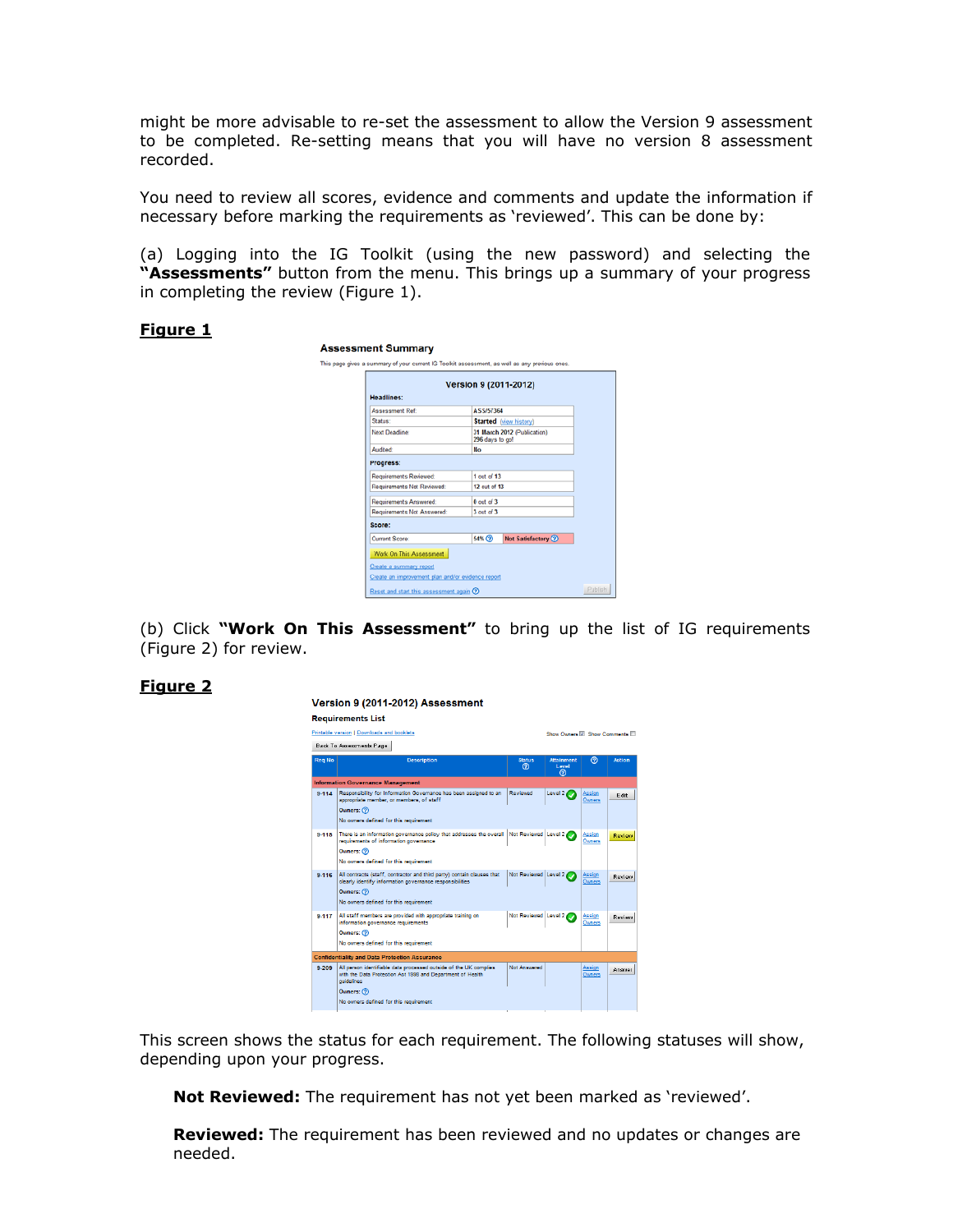might be more advisable to re-set the assessment to allow the Version 9 assessment to be completed. Re-setting means that you will have no version 8 assessment recorded.

You need to review all scores, evidence and comments and update the information if necessary before marking the requirements as 'reviewed'. This can be done by:

(a) Logging into the IG Toolkit (using the new password) and selecting the **"Assessments"** button from the menu. This brings up a summary of your progress in completing the review (Figure 1).

# **Figure 1**

| Headlines:                                        | Version 9 (2011-2012) |                                                |  |  |  |
|---------------------------------------------------|-----------------------|------------------------------------------------|--|--|--|
| <b>Assessment Ref:</b>                            | <b>ASS/57364</b>      |                                                |  |  |  |
| Status:                                           |                       | <b>Started</b> (view history)                  |  |  |  |
| Next Deadline:                                    |                       | 31 March 2012 (Publication)<br>296 days to go! |  |  |  |
| Audited:                                          | <b>No</b>             |                                                |  |  |  |
| Progress:                                         |                       |                                                |  |  |  |
| Requirements Reviewed:                            | 1 out of 13           |                                                |  |  |  |
| Requirements Not Reviewed:                        | 12 out of 13          |                                                |  |  |  |
| Requirements Answered:                            | $0$ out of $3$        |                                                |  |  |  |
| Requirements Not Answered:                        | $3$ out of $3$        |                                                |  |  |  |
| Score:                                            |                       |                                                |  |  |  |
| Current Score:                                    | 54%                   | <b>Not Satisfactory (2)</b>                    |  |  |  |
| Work On This Assessment                           |                       |                                                |  |  |  |
| Create a summary report                           |                       |                                                |  |  |  |
| Create an improvement plan and/or evidence report |                       |                                                |  |  |  |

(b) Click **"Work On This Assessment"** to bring up the list of IG requirements (Figure 2) for review.

# **Figure 2**

|               | Version 9 (2011-2012) Assessment                                                                                                                                                                       |                        |                                        |                         |              |  |  |
|---------------|--------------------------------------------------------------------------------------------------------------------------------------------------------------------------------------------------------|------------------------|----------------------------------------|-------------------------|--------------|--|--|
|               | <b>Requirements List</b><br>Printable version   Downloads and booklets                                                                                                                                 |                        | Show Owners VI Show Comments           |                         |              |  |  |
| <b>Reg No</b> | Back To Assessments Page<br><b>Description</b>                                                                                                                                                         | <b>Status</b><br>൫     | <b>Attainment</b><br><b>Level</b><br>൫ | ൫                       | Action       |  |  |
|               | <b>Information Governance Management</b>                                                                                                                                                               |                        |                                        |                         |              |  |  |
| $9 - 114$     | Responsibility for Information Governance has been assigned to an<br>appropriate member, or members, of staff<br>Owners: (?)<br>No owners defined for this requirement                                 | Reviewed               | Level 2                                | Assign<br>Owners        | <b>F</b> dit |  |  |
| 9.115         | There is an information governance policy that addresses the overall<br>requirements of information governance<br>Owners: (?)<br>No owners defined for this requirement                                | Not Reviewed   Level 2 |                                        | <b>Assign</b><br>Owners | Review       |  |  |
| $9 - 116$     | All contracts (staff, contractor and third party) contain clauses that<br>clearly identify information governance responsibilities<br>Owners: (?)<br>No owners defined for this requirement            | Not Reviewed Level 2   |                                        | Assian<br>Owners        | Review       |  |  |
| 9.117         | All staff members are provided with appropriate training on<br>information governance requirements<br>Owners: (?)<br>No owners defined for this requirement                                            | Not Reviewed Level 2   |                                        | <b>Assign</b><br>Owners | Review       |  |  |
|               | <b>Confidentiality and Data Protection Assurance</b>                                                                                                                                                   |                        |                                        |                         |              |  |  |
| 9-209         | All person identifiable data processed outside of the UK complies<br>with the Data Protection Act 1998 and Department of Health<br>quidelines<br>Owners: (?)<br>No owners defined for this requirement | Not Answered           |                                        | Assian<br>Owners        | Answer       |  |  |

This screen shows the status for each requirement. The following statuses will show, depending upon your progress.

**Not Reviewed:** The requirement has not yet been marked as 'reviewed'.

**Reviewed:** The requirement has been reviewed and no updates or changes are needed.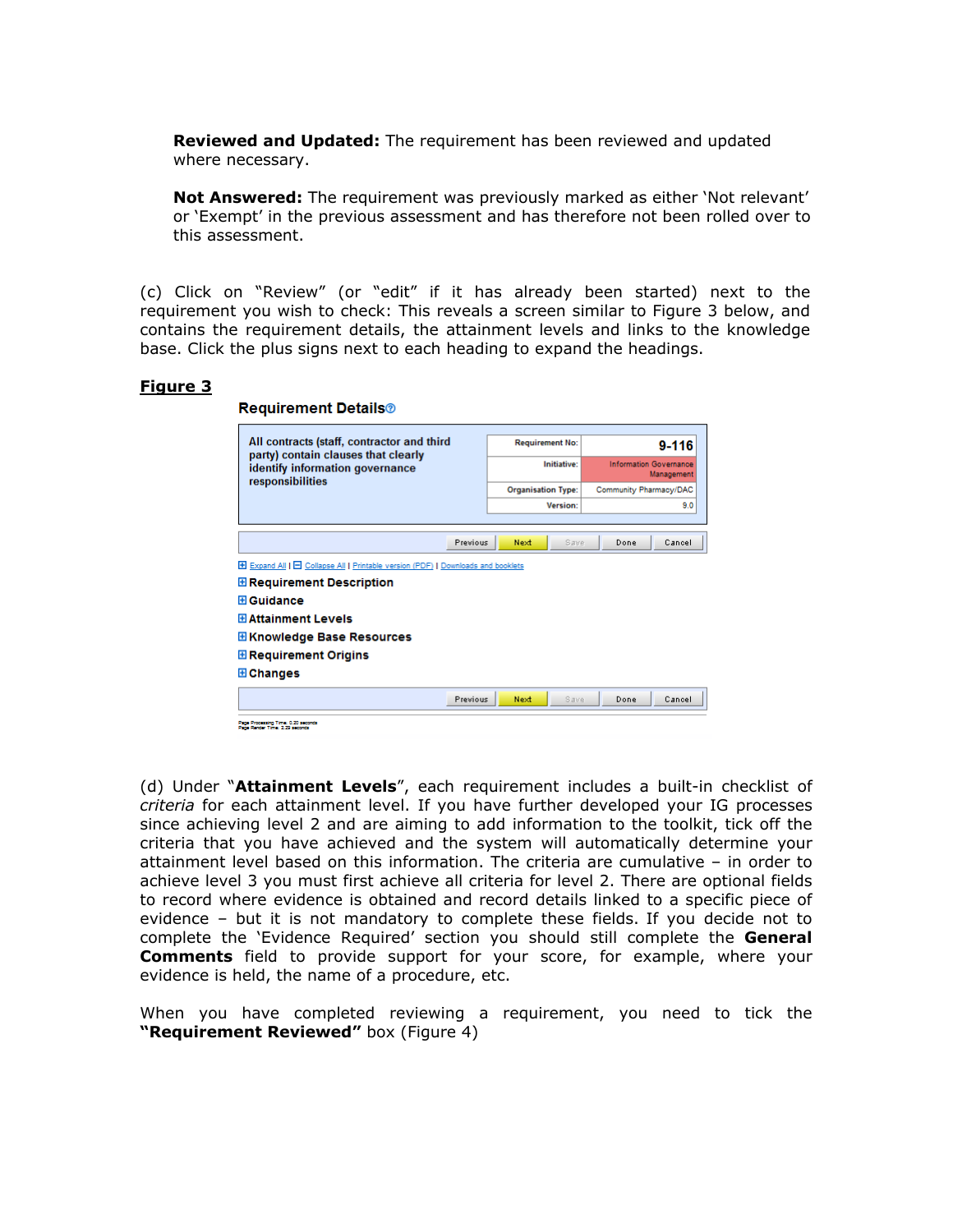**Reviewed and Updated:** The requirement has been reviewed and updated where necessary.

**Not Answered:** The requirement was previously marked as either 'Not relevant' or 'Exempt' in the previous assessment and has therefore not been rolled over to this assessment.

(c) Click on "Review" (or "edit" if it has already been started) next to the requirement you wish to check: This reveals a screen similar to Figure 3 below, and contains the requirement details, the attainment levels and links to the knowledge base. Click the plus signs next to each heading to expand the headings.

#### **Figure 3**

| <b>Requirement Details®</b>                                                                                                                                                                                                                                  |  |                           |                 |                                             |      |        |
|--------------------------------------------------------------------------------------------------------------------------------------------------------------------------------------------------------------------------------------------------------------|--|---------------------------|-----------------|---------------------------------------------|------|--------|
| All contracts (staff, contractor and third<br>party) contain clauses that clearly<br>identify information governance<br>responsibilities                                                                                                                     |  | <b>Requirement No:</b>    |                 | $9 - 116$                                   |      |        |
|                                                                                                                                                                                                                                                              |  | Initiative:               |                 | <b>Information Governance</b><br>Management |      |        |
|                                                                                                                                                                                                                                                              |  | <b>Organisation Type:</b> |                 | Community Pharmacy/DAC                      |      |        |
|                                                                                                                                                                                                                                                              |  |                           | <b>Version:</b> |                                             |      | 9.0    |
|                                                                                                                                                                                                                                                              |  |                           |                 |                                             |      |        |
| Previous                                                                                                                                                                                                                                                     |  | Next                      | Save            |                                             | Done | Cancel |
| Expand All   E Collapse All   Printable version (PDF)   Downloads and booklets<br><b>⊞ Requirement Description</b><br><b>El Guidance</b><br><b>El Attainment Levels</b><br><b>EXPERIE Base Resources</b><br><b>E</b> Requirement Origins<br><b>E</b> Changes |  |                           |                 |                                             |      |        |
| Previous                                                                                                                                                                                                                                                     |  | Next                      | Save.           |                                             | Done | Cancel |
| Page Processing Time: 0.20 seconds<br>Page Render Time: 2.29 seconds                                                                                                                                                                                         |  |                           |                 |                                             |      |        |

(d) Under "**Attainment Levels**", each requirement includes a built-in checklist of *criteria* for each attainment level. If you have further developed your IG processes since achieving level 2 and are aiming to add information to the toolkit, tick off the criteria that you have achieved and the system will automatically determine your attainment level based on this information. The criteria are cumulative – in order to achieve level 3 you must first achieve all criteria for level 2. There are optional fields to record where evidence is obtained and record details linked to a specific piece of evidence – but it is not mandatory to complete these fields. If you decide not to complete the 'Evidence Required' section you should still complete the **General Comments** field to provide support for your score, for example, where your evidence is held, the name of a procedure, etc.

When you have completed reviewing a requirement, you need to tick the **"Requirement Reviewed"** box (Figure 4)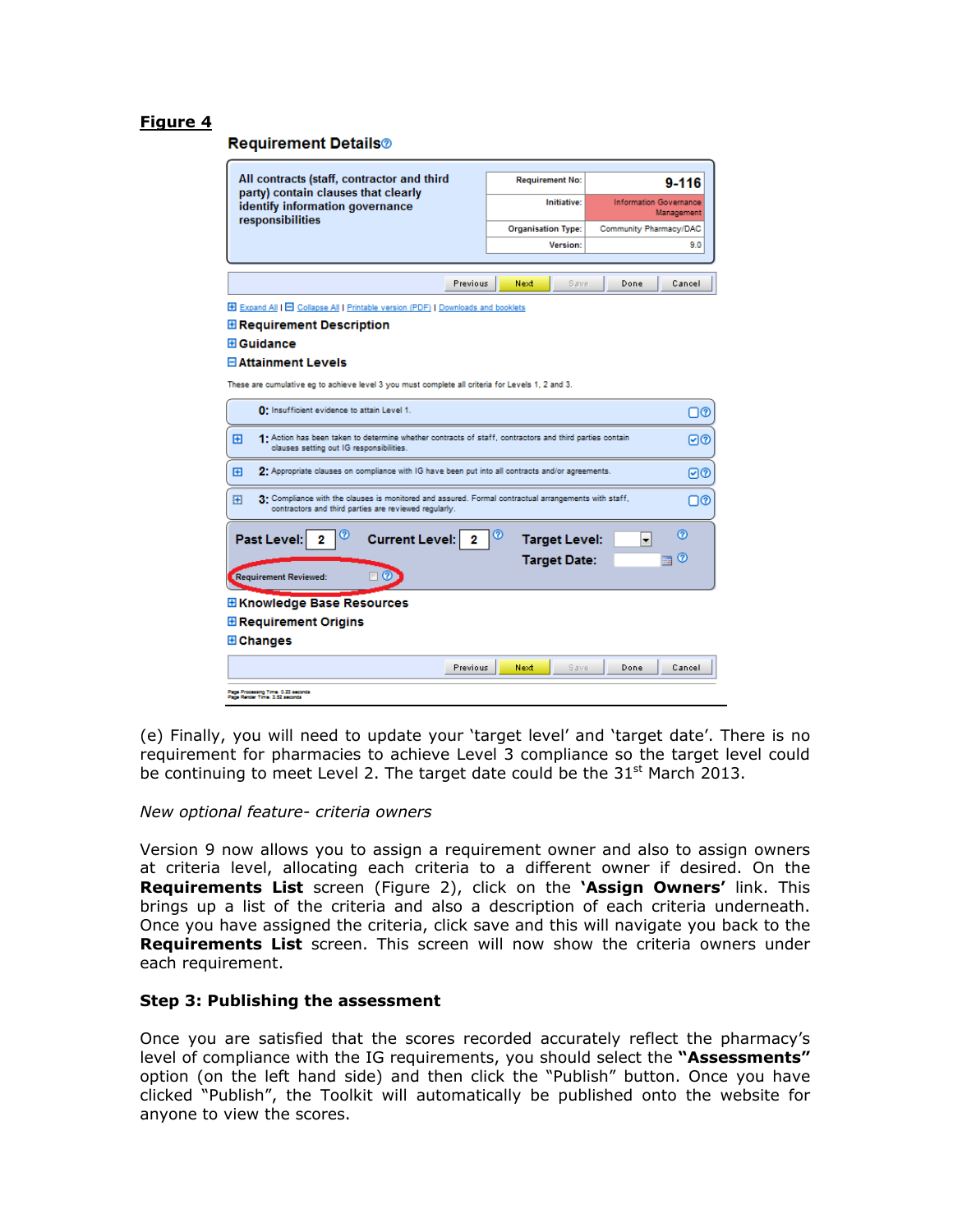## **Figure 4**

#### **Requirement Details®**

| All contracts (staff, contractor and third<br>party) contain clauses that clearly<br>identify information governance<br>responsibilities                                 |                           | <b>Requirement No:</b> |                                             | $9 - 116$        |  |
|--------------------------------------------------------------------------------------------------------------------------------------------------------------------------|---------------------------|------------------------|---------------------------------------------|------------------|--|
|                                                                                                                                                                          | Initiative:               |                        | <b>Information Governance</b><br>Management |                  |  |
|                                                                                                                                                                          | <b>Organisation Type:</b> |                        | Community Pharmacy/DAC                      |                  |  |
|                                                                                                                                                                          |                           | <b>Version:</b>        |                                             | 9.0              |  |
|                                                                                                                                                                          |                           |                        |                                             |                  |  |
| <b>Previous</b>                                                                                                                                                          | Next                      | Save                   | Done                                        | Cancel           |  |
| E Expand All   E Collapse All   Printable version (PDF)   Downloads and booklets                                                                                         |                           |                        |                                             |                  |  |
| <b>E Requirement Description</b>                                                                                                                                         |                           |                        |                                             |                  |  |
| <b>El Guidance</b>                                                                                                                                                       |                           |                        |                                             |                  |  |
| <b>El Attainment Levels</b>                                                                                                                                              |                           |                        |                                             |                  |  |
|                                                                                                                                                                          |                           |                        |                                             |                  |  |
| These are cumulative eg to achieve level 3 you must complete all criteria for Levels 1, 2 and 3.                                                                         |                           |                        |                                             |                  |  |
| 0: Insufficient evidence to attain Level 1.<br>⊟@                                                                                                                        |                           |                        |                                             |                  |  |
| 1. Action has been taken to determine whether contracts of staff, contractors and third parties contain<br>Ð<br>ାଡ<br>clauses setting out IG responsibilities.           |                           |                        |                                             |                  |  |
| Ð<br>2. Appropriate clauses on compliance with IG have been put into all contracts and/or agreements.<br>⊡ଡ                                                              |                           |                        |                                             |                  |  |
| 3. Compliance with the clauses is monitored and assured. Formal contractual arrangements with staff,<br>⊞<br>⊓ര<br>contractors and third parties are reviewed regularly. |                           |                        |                                             |                  |  |
| Past Level:<br><b>Current Level:</b><br>2<br>2                                                                                                                           | ဨ                         | <b>Target Level:</b>   | $\overline{\phantom{a}}$                    | ര                |  |
|                                                                                                                                                                          |                           | <b>Target Date:</b>    |                                             | $\omega$<br>mar. |  |
| Ø<br>Requirement Reviewed:                                                                                                                                               |                           |                        |                                             |                  |  |
|                                                                                                                                                                          |                           |                        |                                             |                  |  |
| <b>EXnowledge Base Resources</b>                                                                                                                                         |                           |                        |                                             |                  |  |
| <b>E</b> Requirement Origins                                                                                                                                             |                           |                        |                                             |                  |  |
| <b>E</b> Changes                                                                                                                                                         |                           |                        |                                             |                  |  |
| Previous                                                                                                                                                                 | Next                      | Save                   | Done                                        | Cancel           |  |
| Page Processing Time: 0.23 seconds<br>Page Render Time: 1.52 seconds                                                                                                     |                           |                        |                                             |                  |  |

(e) Finally, you will need to update your 'target level' and 'target date'. There is no requirement for pharmacies to achieve Level 3 compliance so the target level could be continuing to meet Level 2. The target date could be the  $31^{st}$  March 2013.

#### *New optional feature- criteria owners*

Version 9 now allows you to assign a requirement owner and also to assign owners at criteria level, allocating each criteria to a different owner if desired. On the **Requirements List** screen (Figure 2), click on the **'Assign Owners'** link. This brings up a list of the criteria and also a description of each criteria underneath. Once you have assigned the criteria, click save and this will navigate you back to the **Requirements List** screen. This screen will now show the criteria owners under each requirement.

# **Step 3: Publishing the assessment**

Once you are satisfied that the scores recorded accurately reflect the pharmacy's level of compliance with the IG requirements, you should select the **"Assessments"** option (on the left hand side) and then click the "Publish" button. Once you have clicked "Publish", the Toolkit will automatically be published onto the website for anyone to view the scores.